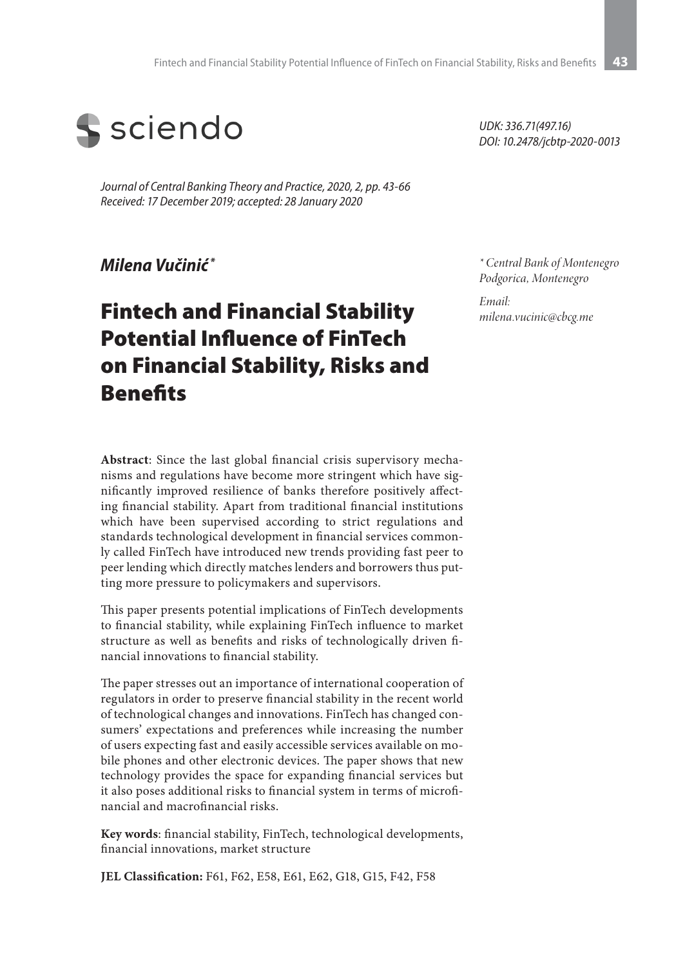

*Journal of Central Banking Theory and Practice, 2020, 2, pp. 43-66 Received: 17 December 2019; accepted: 28 January 2020*

#### *Milena Vučinić \**

# Fintech and Financial Stability Potential Influence of FinTech on Financial Stability, Risks and **Benefits**

**Abstract**: Since the last global financial crisis supervisory mechanisms and regulations have become more stringent which have significantly improved resilience of banks therefore positively affecting financial stability. Apart from traditional financial institutions which have been supervised according to strict regulations and standards technological development in financial services commonly called FinTech have introduced new trends providing fast peer to peer lending which directly matches lenders and borrowers thus putting more pressure to policymakers and supervisors.

This paper presents potential implications of FinTech developments to financial stability, while explaining FinTech influence to market structure as well as benefits and risks of technologically driven financial innovations to financial stability.

The paper stresses out an importance of international cooperation of regulators in order to preserve financial stability in the recent world of technological changes and innovations. FinTech has changed consumers' expectations and preferences while increasing the number of users expecting fast and easily accessible services available on mobile phones and other electronic devices. The paper shows that new technology provides the space for expanding financial services but it also poses additional risks to financial system in terms of microfinancial and macrofinancial risks.

**Key words**: financial stability, FinTech, technological developments, financial innovations, market structure

**JEL Classification:** F61, F62, E58, E61, E62, G18, G15, F42, F58

*UDK: 336.71(497.16) DOI: 10.2478/jcbtp-2020-0013*

*\* Central Bank of Montenegro Podgorica, Montenegro*

*Email: milena.vucinic@cbcg.me*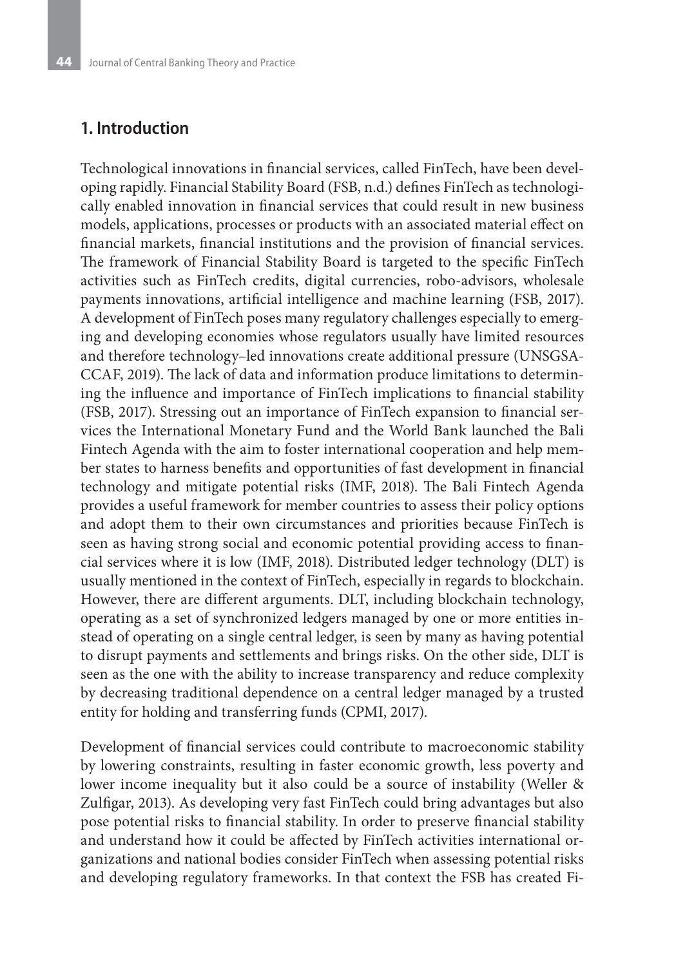#### **1. Introduction**

Technological innovations in financial services, called FinTech, have been developing rapidly. Financial Stability Board (FSB, n.d.) defines FinTech as technologically enabled innovation in financial services that could result in new business models, applications, processes or products with an associated material effect on financial markets, financial institutions and the provision of financial services. The framework of Financial Stability Board is targeted to the specific FinTech activities such as FinTech credits, digital currencies, robo-advisors, wholesale payments innovations, artificial intelligence and machine learning (FSB, 2017). A development of FinTech poses many regulatory challenges especially to emerging and developing economies whose regulators usually have limited resources and therefore technology–led innovations create additional pressure (UNSGSA-CCAF, 2019). The lack of data and information produce limitations to determining the influence and importance of FinTech implications to financial stability (FSB, 2017). Stressing out an importance of FinTech expansion to financial services the International Monetary Fund and the World Bank launched the Bali Fintech Agenda with the aim to foster international cooperation and help member states to harness benefits and opportunities of fast development in financial technology and mitigate potential risks (IMF, 2018). The Bali Fintech Agenda provides a useful framework for member countries to assess their policy options and adopt them to their own circumstances and priorities because FinTech is seen as having strong social and economic potential providing access to financial services where it is low (IMF, 2018). Distributed ledger technology (DLT) is usually mentioned in the context of FinTech, especially in regards to blockchain. However, there are different arguments. DLT, including blockchain technology, operating as a set of synchronized ledgers managed by one or more entities instead of operating on a single central ledger, is seen by many as having potential to disrupt payments and settlements and brings risks. On the other side, DLT is seen as the one with the ability to increase transparency and reduce complexity by decreasing traditional dependence on a central ledger managed by a trusted entity for holding and transferring funds (CPMI, 2017).

Development of financial services could contribute to macroeconomic stability by lowering constraints, resulting in faster economic growth, less poverty and lower income inequality but it also could be a source of instability (Weller & Zulfigar, 2013). As developing very fast FinTech could bring advantages but also pose potential risks to financial stability. In order to preserve financial stability and understand how it could be affected by FinTech activities international organizations and national bodies consider FinTech when assessing potential risks and developing regulatory frameworks. In that context the FSB has created Fi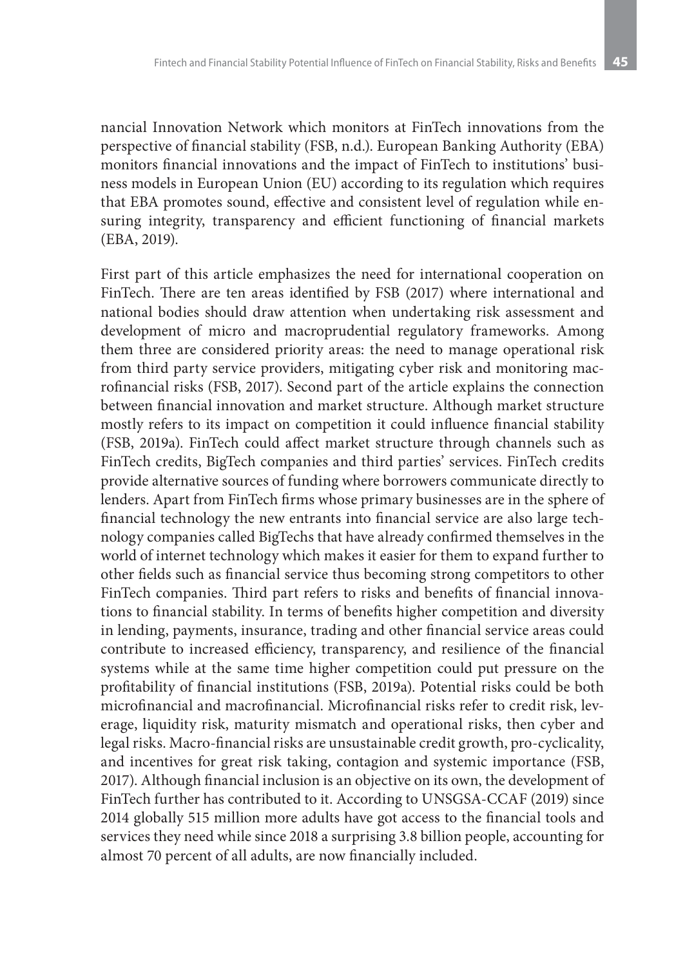nancial Innovation Network which monitors at FinTech innovations from the perspective of financial stability (FSB, n.d.). European Banking Authority (EBA) monitors financial innovations and the impact of FinTech to institutions' business models in European Union (EU) according to its regulation which requires that EBA promotes sound, effective and consistent level of regulation while ensuring integrity, transparency and efficient functioning of financial markets (EBA, 2019).

First part of this article emphasizes the need for international cooperation on FinTech. There are ten areas identified by FSB (2017) where international and national bodies should draw attention when undertaking risk assessment and development of micro and macroprudential regulatory frameworks. Among them three are considered priority areas: the need to manage operational risk from third party service providers, mitigating cyber risk and monitoring macrofinancial risks (FSB, 2017). Second part of the article explains the connection between financial innovation and market structure. Although market structure mostly refers to its impact on competition it could influence financial stability (FSB, 2019a). FinTech could affect market structure through channels such as FinTech credits, BigTech companies and third parties' services. FinTech credits provide alternative sources of funding where borrowers communicate directly to lenders. Apart from FinTech firms whose primary businesses are in the sphere of financial technology the new entrants into financial service are also large technology companies called BigTechs that have already confirmed themselves in the world of internet technology which makes it easier for them to expand further to other fields such as financial service thus becoming strong competitors to other FinTech companies. Third part refers to risks and benefits of financial innovations to financial stability. In terms of benefits higher competition and diversity in lending, payments, insurance, trading and other financial service areas could contribute to increased efficiency, transparency, and resilience of the financial systems while at the same time higher competition could put pressure on the profitability of financial institutions (FSB, 2019a). Potential risks could be both microfinancial and macrofinancial. Microfinancial risks refer to credit risk, leverage, liquidity risk, maturity mismatch and operational risks, then cyber and legal risks. Macro-financial risks are unsustainable credit growth, pro-cyclicality, and incentives for great risk taking, contagion and systemic importance (FSB, 2017). Although financial inclusion is an objective on its own, the development of FinTech further has contributed to it. According to UNSGSA-CCAF (2019) since 2014 globally 515 million more adults have got access to the financial tools and services they need while since 2018 a surprising 3.8 billion people, accounting for almost 70 percent of all adults, are now financially included.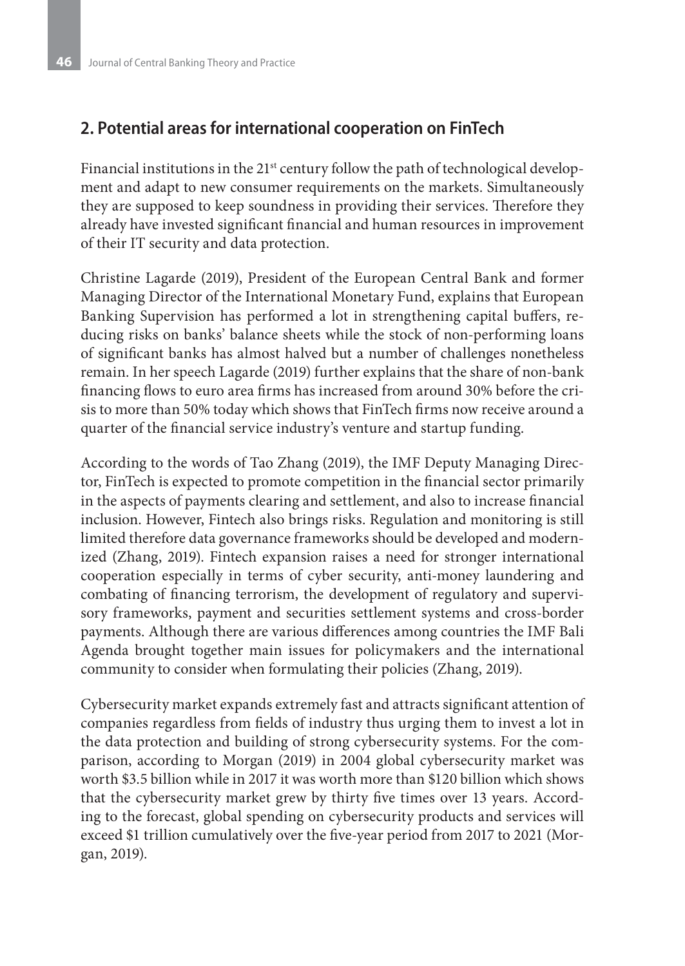## **2. Potential areas for international cooperation on FinTech**

Financial institutions in the 21<sup>st</sup> century follow the path of technological development and adapt to new consumer requirements on the markets. Simultaneously they are supposed to keep soundness in providing their services. Therefore they already have invested significant financial and human resources in improvement of their IT security and data protection.

Christine Lagarde (2019), President of the European Central Bank and former Managing Director of the International Monetary Fund, explains that European Banking Supervision has performed a lot in strengthening capital buffers, reducing risks on banks' balance sheets while the stock of non-performing loans of significant banks has almost halved but a number of challenges nonetheless remain. In her speech Lagarde (2019) further explains that the share of non-bank financing flows to euro area firms has increased from around 30% before the crisis to more than 50% today which shows that FinTech firms now receive around a quarter of the financial service industry's venture and startup funding.

According to the words of Tao Zhang (2019), the IMF Deputy Managing Director, FinTech is expected to promote competition in the financial sector primarily in the aspects of payments clearing and settlement, and also to increase financial inclusion. However, Fintech also brings risks. Regulation and monitoring is still limited therefore data governance frameworks should be developed and modernized (Zhang, 2019). Fintech expansion raises a need for stronger international cooperation especially in terms of cyber security, anti-money laundering and combating of financing terrorism, the development of regulatory and supervisory frameworks, payment and securities settlement systems and cross-border payments. Although there are various differences among countries the IMF Bali Agenda brought together main issues for policymakers and the international community to consider when formulating their policies (Zhang, 2019).

Cybersecurity market expands extremely fast and attracts significant attention of companies regardless from fields of industry thus urging them to invest a lot in the data protection and building of strong cybersecurity systems. For the comparison, according to Morgan (2019) in 2004 global cybersecurity market was worth \$3.5 billion while in 2017 it was worth more than \$120 billion which shows that the cybersecurity market grew by thirty five times over 13 years. According to the forecast, global spending on cybersecurity products and services will exceed \$1 trillion cumulatively over the five-year period from 2017 to 2021 (Morgan, 2019).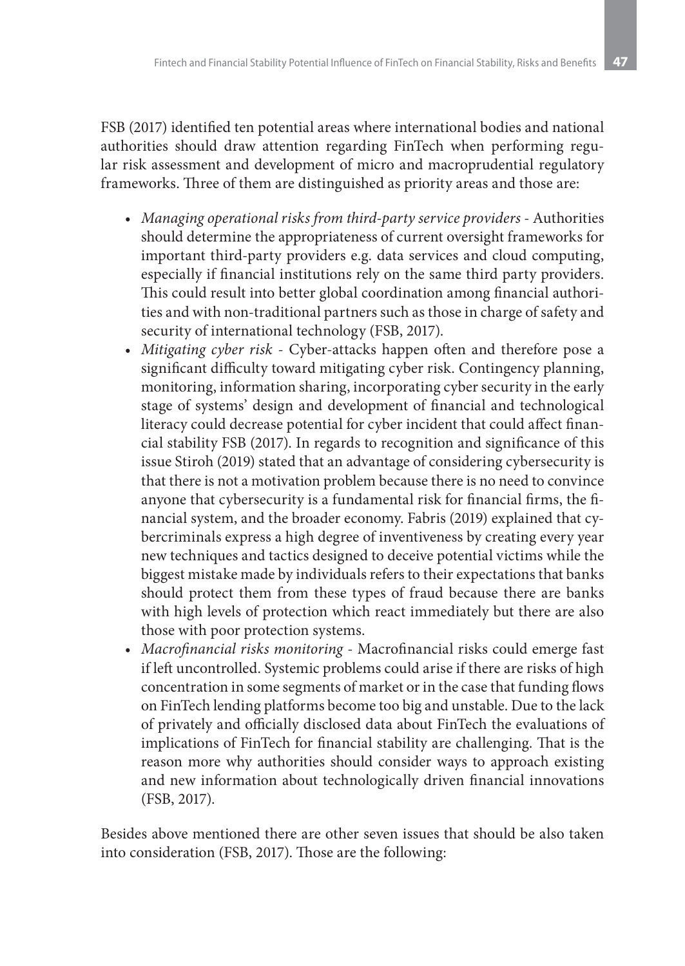FSB (2017) identified ten potential areas where international bodies and national authorities should draw attention regarding FinTech when performing regular risk assessment and development of micro and macroprudential regulatory frameworks. Three of them are distinguished as priority areas and those are:

- *• Managing operational risks from third-party service providers* Authorities should determine the appropriateness of current oversight frameworks for important third-party providers e.g. data services and cloud computing, especially if financial institutions rely on the same third party providers. This could result into better global coordination among financial authorities and with non-traditional partners such as those in charge of safety and security of international technology (FSB, 2017).
- *• Mitigating cyber risk* Cyber-attacks happen often and therefore pose a significant difficulty toward mitigating cyber risk. Contingency planning, monitoring, information sharing, incorporating cyber security in the early stage of systems' design and development of financial and technological literacy could decrease potential for cyber incident that could affect financial stability FSB (2017). In regards to recognition and significance of this issue Stiroh (2019) stated that an advantage of considering cybersecurity is that there is not a motivation problem because there is no need to convince anyone that cybersecurity is a fundamental risk for financial firms, the financial system, and the broader economy. Fabris (2019) explained that cybercriminals express a high degree of inventiveness by creating every year new techniques and tactics designed to deceive potential victims while the biggest mistake made by individuals refers to their expectations that banks should protect them from these types of fraud because there are banks with high levels of protection which react immediately but there are also those with poor protection systems.
- *• Macrofinancial risks monitoring* Macrofinancial risks could emerge fast if left uncontrolled. Systemic problems could arise if there are risks of high concentration in some segments of market or in the case that funding flows on FinTech lending platforms become too big and unstable. Due to the lack of privately and officially disclosed data about FinTech the evaluations of implications of FinTech for financial stability are challenging. That is the reason more why authorities should consider ways to approach existing and new information about technologically driven financial innovations (FSB, 2017).

Besides above mentioned there are other seven issues that should be also taken into consideration (FSB, 2017). Those are the following: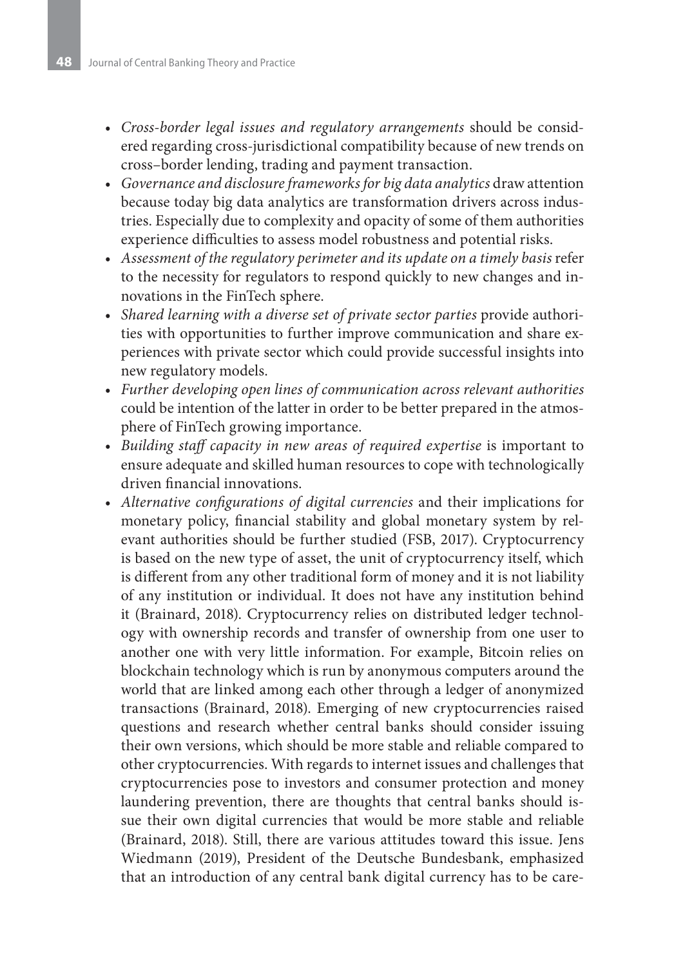- *• Cross-border legal issues and regulatory arrangements* should be considered regarding cross-jurisdictional compatibility because of new trends on cross–border lending, trading and payment transaction.
- *• Governance and disclosure frameworks for big data analytics* draw attention because today big data analytics are transformation drivers across industries. Especially due to complexity and opacity of some of them authorities experience difficulties to assess model robustness and potential risks.
- *• Assessment of the regulatory perimeter and its update on a timely basis* refer to the necessity for regulators to respond quickly to new changes and innovations in the FinTech sphere.
- *• Shared learning with a diverse set of private sector parties* provide authorities with opportunities to further improve communication and share experiences with private sector which could provide successful insights into new regulatory models.
- *• Further developing open lines of communication across relevant authorities* could be intention of the latter in order to be better prepared in the atmosphere of FinTech growing importance.
- *• Building staff capacity in new areas of required expertise* is important to ensure adequate and skilled human resources to cope with technologically driven financial innovations.
- *• Alternative configurations of digital currencies* and their implications for monetary policy, financial stability and global monetary system by relevant authorities should be further studied (FSB, 2017). Cryptocurrency is based on the new type of asset, the unit of cryptocurrency itself, which is different from any other traditional form of money and it is not liability of any institution or individual. It does not have any institution behind it (Brainard, 2018). Cryptocurrency relies on distributed ledger technology with ownership records and transfer of ownership from one user to another one with very little information. For example, Bitcoin relies on blockchain technology which is run by anonymous computers around the world that are linked among each other through a ledger of anonymized transactions (Brainard, 2018). Emerging of new cryptocurrencies raised questions and research whether central banks should consider issuing their own versions, which should be more stable and reliable compared to other cryptocurrencies. With regards to internet issues and challenges that cryptocurrencies pose to investors and consumer protection and money laundering prevention, there are thoughts that central banks should issue their own digital currencies that would be more stable and reliable (Brainard, 2018). Still, there are various attitudes toward this issue. Jens Wiedmann (2019), President of the Deutsche Bundesbank, emphasized that an introduction of any central bank digital currency has to be care-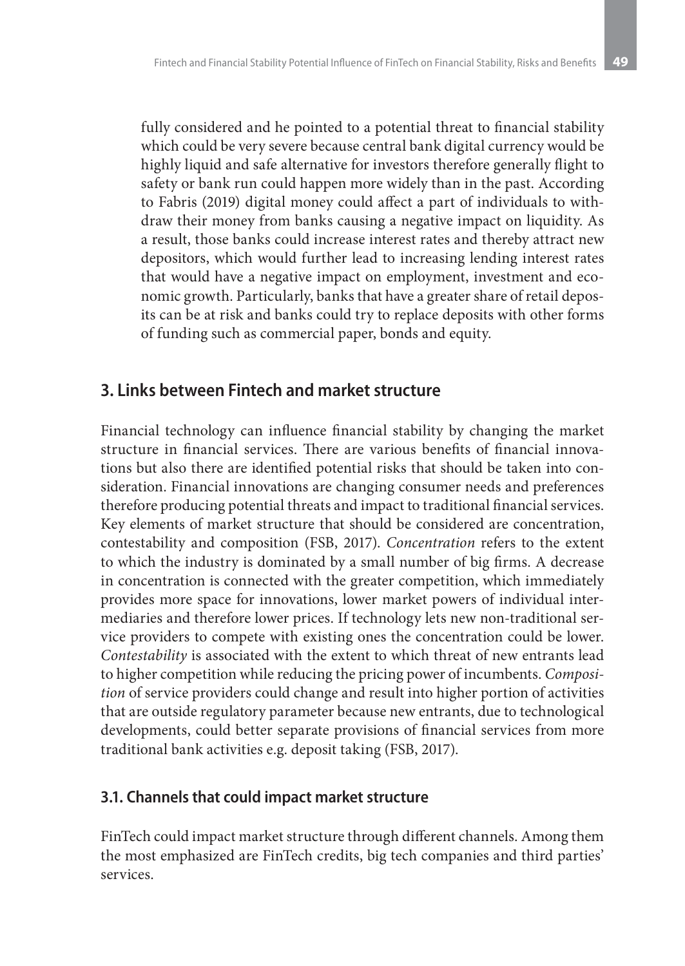fully considered and he pointed to a potential threat to financial stability which could be very severe because central bank digital currency would be highly liquid and safe alternative for investors therefore generally flight to safety or bank run could happen more widely than in the past. According to Fabris (2019) digital money could affect a part of individuals to withdraw their money from banks causing a negative impact on liquidity. As a result, those banks could increase interest rates and thereby attract new depositors, which would further lead to increasing lending interest rates that would have a negative impact on employment, investment and economic growth. Particularly, banks that have a greater share of retail deposits can be at risk and banks could try to replace deposits with other forms of funding such as commercial paper, bonds and equity.

## **3. Links between Fintech and market structure**

Financial technology can influence financial stability by changing the market structure in financial services. There are various benefits of financial innovations but also there are identified potential risks that should be taken into consideration. Financial innovations are changing consumer needs and preferences therefore producing potential threats and impact to traditional financial services. Key elements of market structure that should be considered are concentration, contestability and composition (FSB, 2017). *Concentration* refers to the extent to which the industry is dominated by a small number of big firms. A decrease in concentration is connected with the greater competition, which immediately provides more space for innovations, lower market powers of individual intermediaries and therefore lower prices. If technology lets new non-traditional service providers to compete with existing ones the concentration could be lower. *Contestability* is associated with the extent to which threat of new entrants lead to higher competition while reducing the pricing power of incumbents. *Composition* of service providers could change and result into higher portion of activities that are outside regulatory parameter because new entrants, due to technological developments, could better separate provisions of financial services from more traditional bank activities e.g. deposit taking (FSB, 2017).

#### **3.1. Channels that could impact market structure**

FinTech could impact market structure through different channels. Among them the most emphasized are FinTech credits, big tech companies and third parties' services.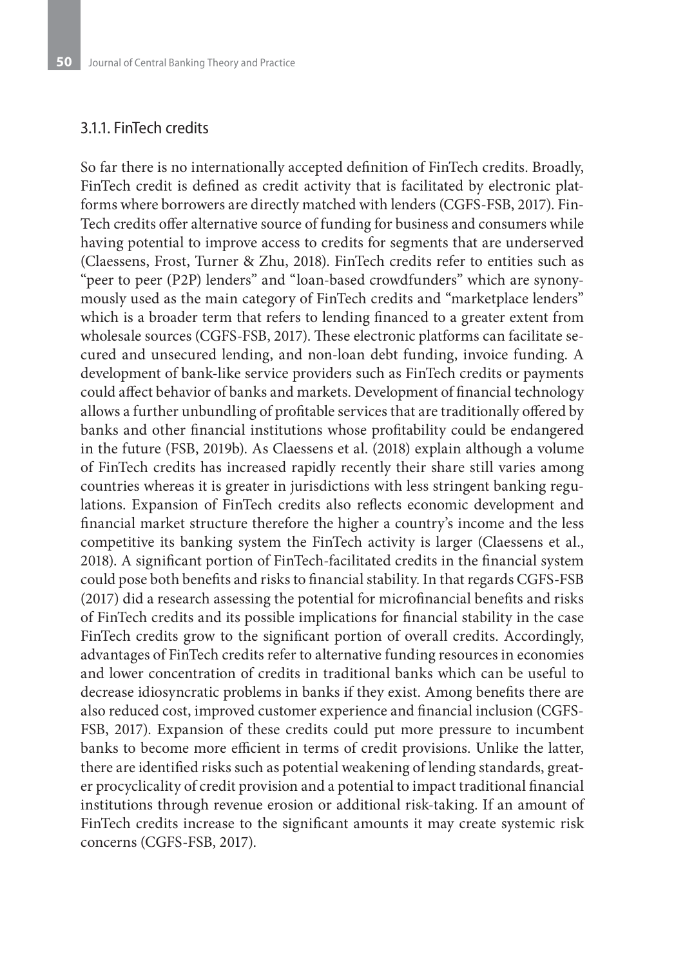#### 3.1.1. FinTech credits

So far there is no internationally accepted definition of FinTech credits. Broadly, FinTech credit is defined as credit activity that is facilitated by electronic platforms where borrowers are directly matched with lenders (CGFS-FSB, 2017). Fin-Tech credits offer alternative source of funding for business and consumers while having potential to improve access to credits for segments that are underserved (Claessens, Frost, Turner & Zhu, 2018). FinTech credits refer to entities such as "peer to peer (P2P) lenders" and "loan-based crowdfunders" which are synonymously used as the main category of FinTech credits and "marketplace lenders" which is a broader term that refers to lending financed to a greater extent from wholesale sources (CGFS-FSB, 2017). These electronic platforms can facilitate secured and unsecured lending, and non-loan debt funding, invoice funding. A development of bank-like service providers such as FinTech credits or payments could affect behavior of banks and markets. Development of financial technology allows a further unbundling of profitable services that are traditionally offered by banks and other financial institutions whose profitability could be endangered in the future (FSB, 2019b). As Claessens et al. (2018) explain although a volume of FinTech credits has increased rapidly recently their share still varies among countries whereas it is greater in jurisdictions with less stringent banking regulations. Expansion of FinTech credits also reflects economic development and financial market structure therefore the higher a country's income and the less competitive its banking system the FinTech activity is larger (Claessens et al., 2018). A significant portion of FinTech-facilitated credits in the financial system could pose both benefits and risks to financial stability. In that regards CGFS-FSB (2017) did a research assessing the potential for microfinancial benefits and risks of FinTech credits and its possible implications for financial stability in the case FinTech credits grow to the significant portion of overall credits. Accordingly, advantages of FinTech credits refer to alternative funding resources in economies and lower concentration of credits in traditional banks which can be useful to decrease idiosyncratic problems in banks if they exist. Among benefits there are also reduced cost, improved customer experience and financial inclusion (CGFS-FSB, 2017). Expansion of these credits could put more pressure to incumbent banks to become more efficient in terms of credit provisions. Unlike the latter, there are identified risks such as potential weakening of lending standards, greater procyclicality of credit provision and a potential to impact traditional financial institutions through revenue erosion or additional risk-taking. If an amount of FinTech credits increase to the significant amounts it may create systemic risk concerns (CGFS-FSB, 2017).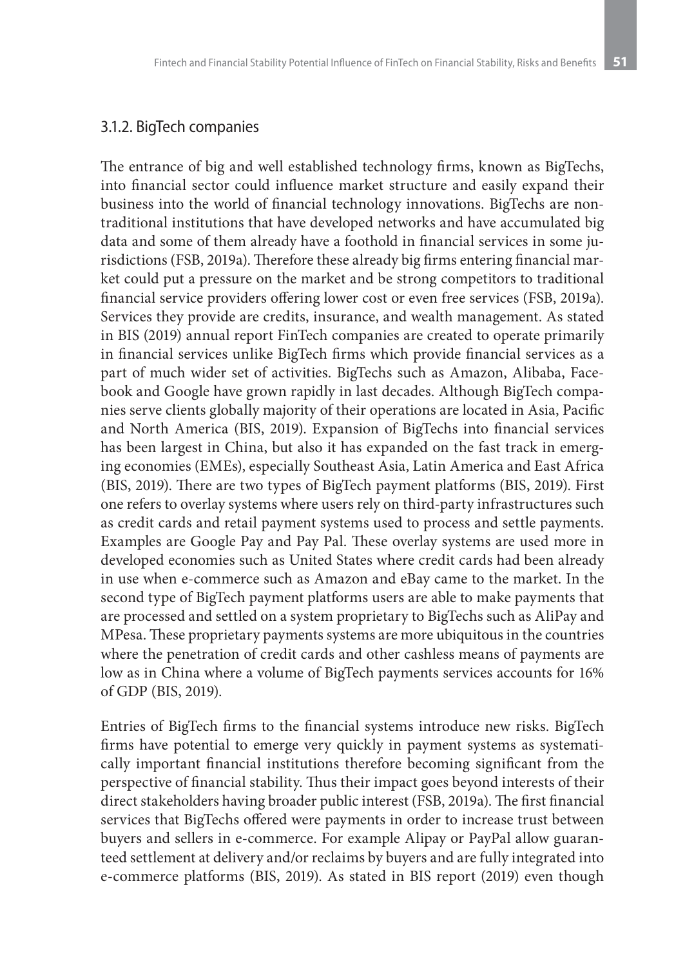#### 3.1.2. BigTech companies

The entrance of big and well established technology firms, known as BigTechs, into financial sector could influence market structure and easily expand their business into the world of financial technology innovations. BigTechs are nontraditional institutions that have developed networks and have accumulated big data and some of them already have a foothold in financial services in some jurisdictions (FSB, 2019a). Therefore these already big firms entering financial market could put a pressure on the market and be strong competitors to traditional financial service providers offering lower cost or even free services (FSB, 2019a). Services they provide are credits, insurance, and wealth management. As stated in BIS (2019) annual report FinTech companies are created to operate primarily in financial services unlike BigTech firms which provide financial services as a part of much wider set of activities. BigTechs such as Amazon, Alibaba, Facebook and Google have grown rapidly in last decades. Although BigTech companies serve clients globally majority of their operations are located in Asia, Pacific and North America (BIS, 2019). Expansion of BigTechs into financial services has been largest in China, but also it has expanded on the fast track in emerging economies (EMEs), especially Southeast Asia, Latin America and East Africa (BIS, 2019). There are two types of BigTech payment platforms (BIS, 2019). First one refers to overlay systems where users rely on third-party infrastructures such as credit cards and retail payment systems used to process and settle payments. Examples are Google Pay and Pay Pal. These overlay systems are used more in developed economies such as United States where credit cards had been already in use when e-commerce such as Amazon and eBay came to the market. In the second type of BigTech payment platforms users are able to make payments that are processed and settled on a system proprietary to BigTechs such as AliPay and MPesa. These proprietary payments systems are more ubiquitous in the countries where the penetration of credit cards and other cashless means of payments are low as in China where a volume of BigTech payments services accounts for 16% of GDP (BIS, 2019).

Entries of BigTech firms to the financial systems introduce new risks. BigTech firms have potential to emerge very quickly in payment systems as systematically important financial institutions therefore becoming significant from the perspective of financial stability. Thus their impact goes beyond interests of their direct stakeholders having broader public interest (FSB, 2019a). The first financial services that BigTechs offered were payments in order to increase trust between buyers and sellers in e-commerce. For example Alipay or PayPal allow guaranteed settlement at delivery and/or reclaims by buyers and are fully integrated into e-commerce platforms (BIS, 2019). As stated in BIS report (2019) even though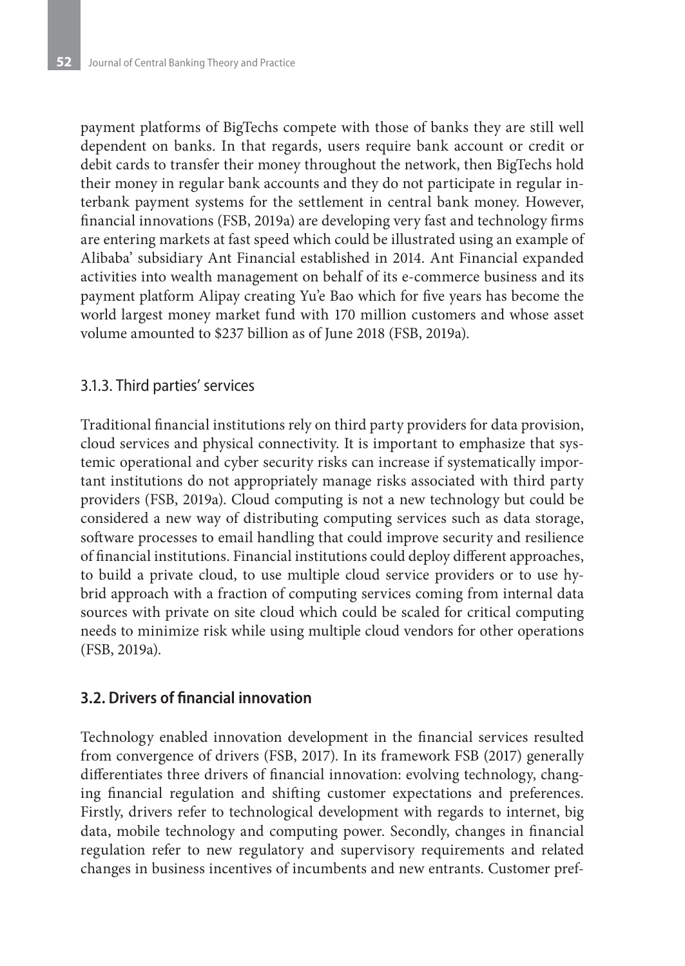payment platforms of BigTechs compete with those of banks they are still well dependent on banks. In that regards, users require bank account or credit or debit cards to transfer their money throughout the network, then BigTechs hold their money in regular bank accounts and they do not participate in regular interbank payment systems for the settlement in central bank money. However, financial innovations (FSB, 2019a) are developing very fast and technology firms are entering markets at fast speed which could be illustrated using an example of Alibaba' subsidiary Ant Financial established in 2014. Ant Financial expanded activities into wealth management on behalf of its e-commerce business and its payment platform Alipay creating Yu'e Bao which for five years has become the world largest money market fund with 170 million customers and whose asset volume amounted to \$237 billion as of June 2018 (FSB, 2019a).

#### 3.1.3. Third parties' services

Traditional financial institutions rely on third party providers for data provision, cloud services and physical connectivity. It is important to emphasize that systemic operational and cyber security risks can increase if systematically important institutions do not appropriately manage risks associated with third party providers (FSB, 2019a). Cloud computing is not a new technology but could be considered a new way of distributing computing services such as data storage, software processes to email handling that could improve security and resilience of financial institutions. Financial institutions could deploy different approaches, to build a private cloud, to use multiple cloud service providers or to use hybrid approach with a fraction of computing services coming from internal data sources with private on site cloud which could be scaled for critical computing needs to minimize risk while using multiple cloud vendors for other operations (FSB, 2019a).

#### **3.2. Drivers of financial innovation**

Technology enabled innovation development in the financial services resulted from convergence of drivers (FSB, 2017). In its framework FSB (2017) generally differentiates three drivers of financial innovation: evolving technology, changing financial regulation and shifting customer expectations and preferences. Firstly, drivers refer to technological development with regards to internet, big data, mobile technology and computing power. Secondly, changes in financial regulation refer to new regulatory and supervisory requirements and related changes in business incentives of incumbents and new entrants. Customer pref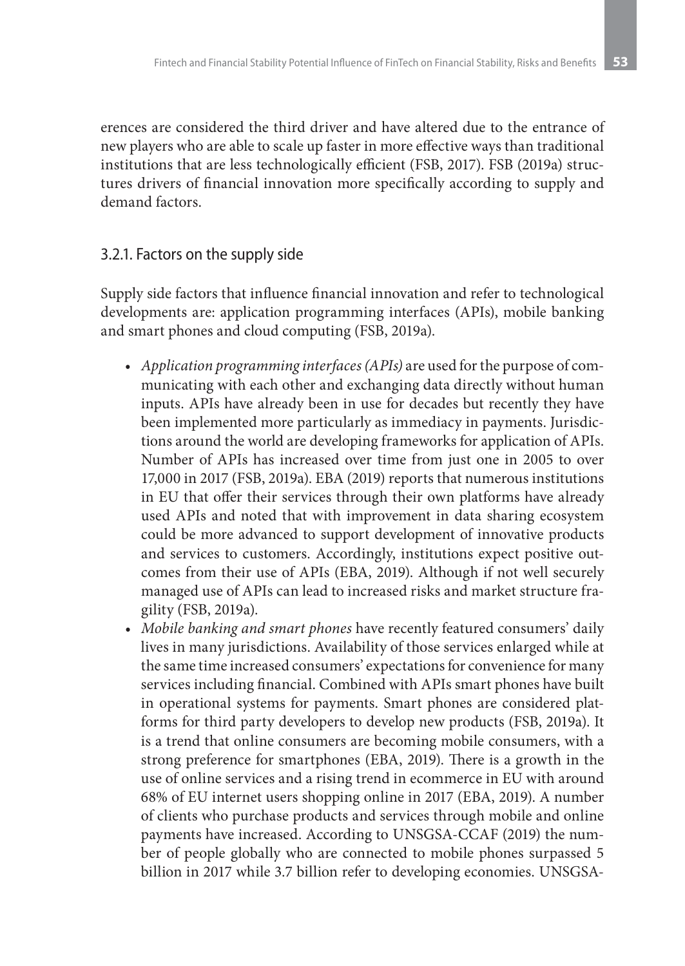erences are considered the third driver and have altered due to the entrance of new players who are able to scale up faster in more effective ways than traditional institutions that are less technologically efficient (FSB, 2017). FSB (2019a) structures drivers of financial innovation more specifically according to supply and demand factors.

#### 3.2.1. Factors on the supply side

Supply side factors that influence financial innovation and refer to technological developments are: application programming interfaces (APIs), mobile banking and smart phones and cloud computing (FSB, 2019a).

- *• Application programming interfaces (APIs)* are used for the purpose of communicating with each other and exchanging data directly without human inputs. APIs have already been in use for decades but recently they have been implemented more particularly as immediacy in payments. Jurisdictions around the world are developing frameworks for application of APIs. Number of APIs has increased over time from just one in 2005 to over 17,000 in 2017 (FSB, 2019a). EBA (2019) reports that numerous institutions in EU that offer their services through their own platforms have already used APIs and noted that with improvement in data sharing ecosystem could be more advanced to support development of innovative products and services to customers. Accordingly, institutions expect positive outcomes from their use of APIs (EBA, 2019). Although if not well securely managed use of APIs can lead to increased risks and market structure fragility (FSB, 2019a).
- *• Mobile banking and smart phones* have recently featured consumers' daily lives in many jurisdictions. Availability of those services enlarged while at the same time increased consumers' expectations for convenience for many services including financial. Combined with APIs smart phones have built in operational systems for payments. Smart phones are considered platforms for third party developers to develop new products (FSB, 2019a). It is a trend that online consumers are becoming mobile consumers, with a strong preference for smartphones (EBA, 2019). There is a growth in the use of online services and a rising trend in ecommerce in EU with around 68% of EU internet users shopping online in 2017 (EBA, 2019). A number of clients who purchase products and services through mobile and online payments have increased. According to UNSGSA-CCAF (2019) the number of people globally who are connected to mobile phones surpassed 5 billion in 2017 while 3.7 billion refer to developing economies. UNSGSA-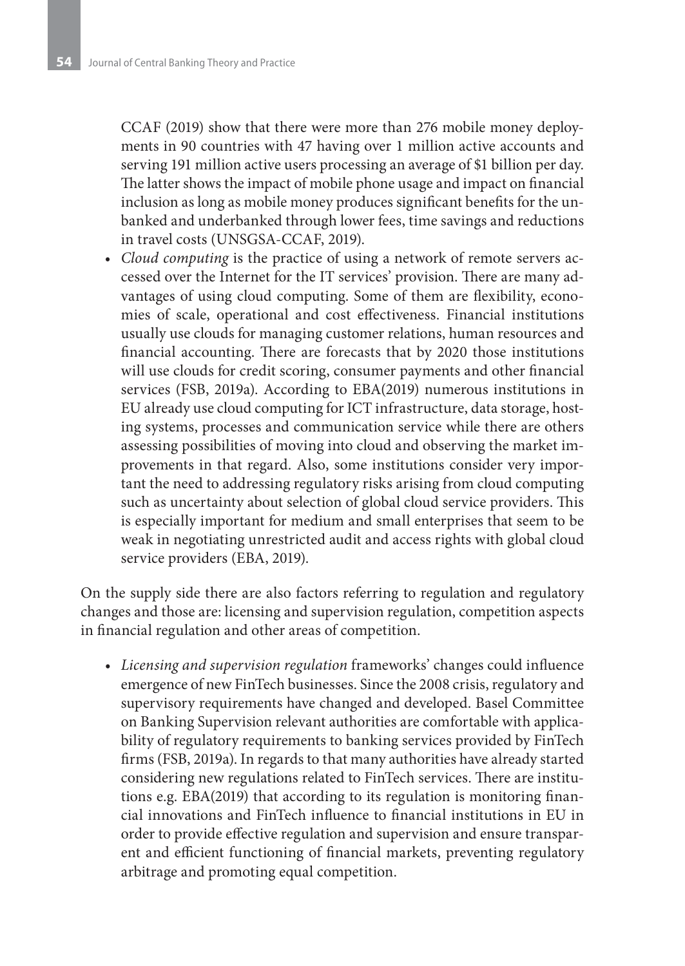CCAF (2019) show that there were more than 276 mobile money deployments in 90 countries with 47 having over 1 million active accounts and serving 191 million active users processing an average of \$1 billion per day. The latter shows the impact of mobile phone usage and impact on financial inclusion as long as mobile money produces significant benefits for the unbanked and underbanked through lower fees, time savings and reductions in travel costs (UNSGSA-CCAF, 2019).

*• Cloud computing* is the practice of using a network of remote servers accessed over the Internet for the IT services' provision. There are many advantages of using cloud computing. Some of them are flexibility, economies of scale, operational and cost effectiveness. Financial institutions usually use clouds for managing customer relations, human resources and financial accounting. There are forecasts that by 2020 those institutions will use clouds for credit scoring, consumer payments and other financial services (FSB, 2019a). According to EBA(2019) numerous institutions in EU already use cloud computing for ICT infrastructure, data storage, hosting systems, processes and communication service while there are others assessing possibilities of moving into cloud and observing the market improvements in that regard. Also, some institutions consider very important the need to addressing regulatory risks arising from cloud computing such as uncertainty about selection of global cloud service providers. This is especially important for medium and small enterprises that seem to be weak in negotiating unrestricted audit and access rights with global cloud service providers (EBA, 2019).

On the supply side there are also factors referring to regulation and regulatory changes and those are: licensing and supervision regulation, competition aspects in financial regulation and other areas of competition.

*• Licensing and supervision regulation* frameworks' changes could influence emergence of new FinTech businesses. Since the 2008 crisis, regulatory and supervisory requirements have changed and developed. Basel Committee on Banking Supervision relevant authorities are comfortable with applicability of regulatory requirements to banking services provided by FinTech firms (FSB, 2019a). In regards to that many authorities have already started considering new regulations related to FinTech services. There are institutions e.g. EBA(2019) that according to its regulation is monitoring financial innovations and FinTech influence to financial institutions in EU in order to provide effective regulation and supervision and ensure transparent and efficient functioning of financial markets, preventing regulatory arbitrage and promoting equal competition.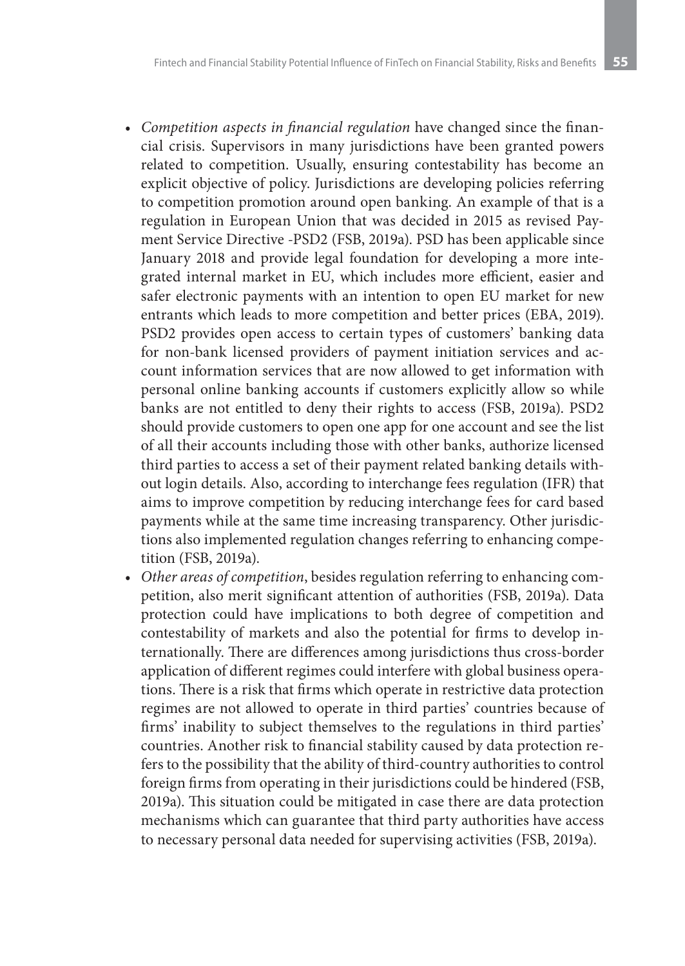- *• Competition aspects in financial regulation* have changed since the financial crisis. Supervisors in many jurisdictions have been granted powers related to competition. Usually, ensuring contestability has become an explicit objective of policy. Jurisdictions are developing policies referring to competition promotion around open banking. An example of that is a regulation in European Union that was decided in 2015 as revised Payment Service Directive -PSD2 (FSB, 2019a). PSD has been applicable since January 2018 and provide legal foundation for developing a more integrated internal market in EU, which includes more efficient, easier and safer electronic payments with an intention to open EU market for new entrants which leads to more competition and better prices (EBA, 2019). PSD2 provides open access to certain types of customers' banking data for non-bank licensed providers of payment initiation services and account information services that are now allowed to get information with personal online banking accounts if customers explicitly allow so while banks are not entitled to deny their rights to access (FSB, 2019a). PSD2 should provide customers to open one app for one account and see the list of all their accounts including those with other banks, authorize licensed third parties to access a set of their payment related banking details without login details. Also, according to interchange fees regulation (IFR) that aims to improve competition by reducing interchange fees for card based payments while at the same time increasing transparency. Other jurisdictions also implemented regulation changes referring to enhancing competition (FSB, 2019a).
- *• Other areas of competition*, besides regulation referring to enhancing competition, also merit significant attention of authorities (FSB, 2019a). Data protection could have implications to both degree of competition and contestability of markets and also the potential for firms to develop internationally. There are differences among jurisdictions thus cross-border application of different regimes could interfere with global business operations. There is a risk that firms which operate in restrictive data protection regimes are not allowed to operate in third parties' countries because of firms' inability to subject themselves to the regulations in third parties' countries. Another risk to financial stability caused by data protection refers to the possibility that the ability of third-country authorities to control foreign firms from operating in their jurisdictions could be hindered (FSB, 2019a). This situation could be mitigated in case there are data protection mechanisms which can guarantee that third party authorities have access to necessary personal data needed for supervising activities (FSB, 2019a).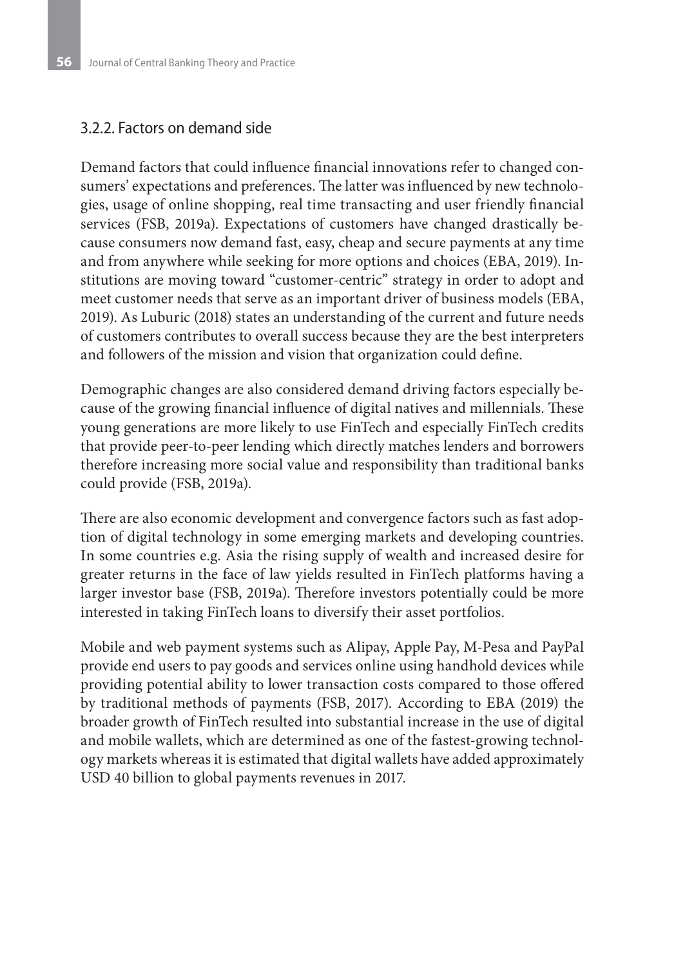#### 3.2.2. Factors on demand side

Demand factors that could influence financial innovations refer to changed consumers' expectations and preferences. The latter was influenced by new technologies, usage of online shopping, real time transacting and user friendly financial services (FSB, 2019a). Expectations of customers have changed drastically because consumers now demand fast, easy, cheap and secure payments at any time and from anywhere while seeking for more options and choices (EBA, 2019). Institutions are moving toward "customer-centric" strategy in order to adopt and meet customer needs that serve as an important driver of business models (EBA, 2019). As Luburic (2018) states an understanding of the current and future needs of customers contributes to overall success because they are the best interpreters and followers of the mission and vision that organization could define.

Demographic changes are also considered demand driving factors especially because of the growing financial influence of digital natives and millennials. These young generations are more likely to use FinTech and especially FinTech credits that provide peer-to-peer lending which directly matches lenders and borrowers therefore increasing more social value and responsibility than traditional banks could provide (FSB, 2019a).

There are also economic development and convergence factors such as fast adoption of digital technology in some emerging markets and developing countries. In some countries e.g. Asia the rising supply of wealth and increased desire for greater returns in the face of law yields resulted in FinTech platforms having a larger investor base (FSB, 2019a). Therefore investors potentially could be more interested in taking FinTech loans to diversify their asset portfolios.

Mobile and web payment systems such as Alipay, Apple Pay, M-Pesa and PayPal provide end users to pay goods and services online using handhold devices while providing potential ability to lower transaction costs compared to those offered by traditional methods of payments (FSB, 2017). According to EBA (2019) the broader growth of FinTech resulted into substantial increase in the use of digital and mobile wallets, which are determined as one of the fastest-growing technology markets whereas it is estimated that digital wallets have added approximately USD 40 billion to global payments revenues in 2017.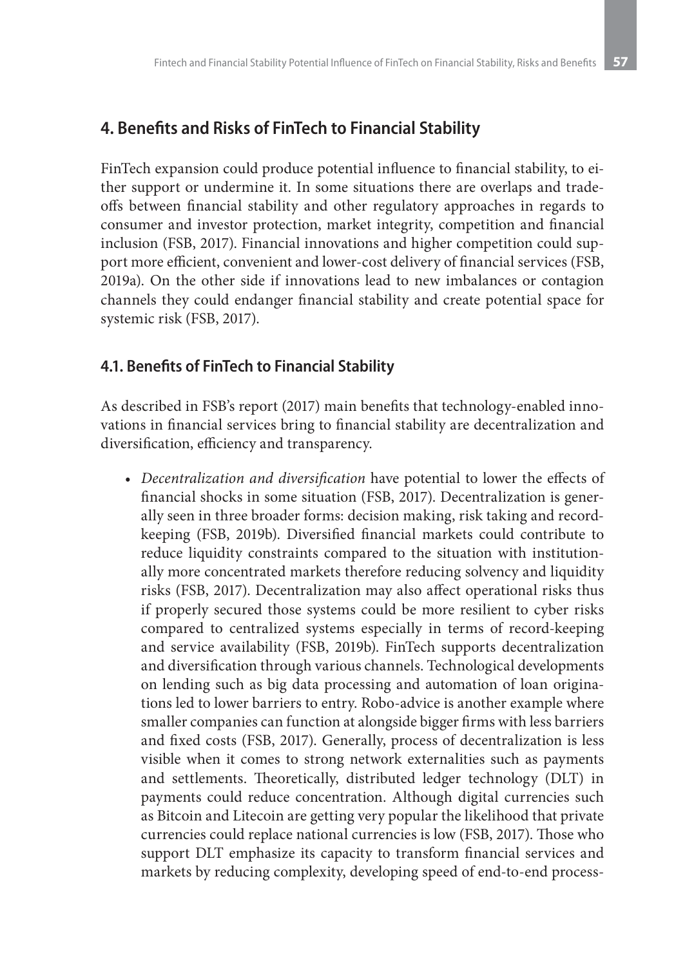## **4. Benefits and Risks of FinTech to Financial Stability**

FinTech expansion could produce potential influence to financial stability, to either support or undermine it. In some situations there are overlaps and tradeoffs between financial stability and other regulatory approaches in regards to consumer and investor protection, market integrity, competition and financial inclusion (FSB, 2017). Financial innovations and higher competition could support more efficient, convenient and lower-cost delivery of financial services (FSB, 2019a). On the other side if innovations lead to new imbalances or contagion channels they could endanger financial stability and create potential space for systemic risk (FSB, 2017).

### **4.1. Benefits of FinTech to Financial Stability**

As described in FSB's report (2017) main benefits that technology-enabled innovations in financial services bring to financial stability are decentralization and diversification, efficiency and transparency.

*• Decentralization and diversification* have potential to lower the effects of financial shocks in some situation (FSB, 2017). Decentralization is generally seen in three broader forms: decision making, risk taking and recordkeeping (FSB, 2019b). Diversified financial markets could contribute to reduce liquidity constraints compared to the situation with institutionally more concentrated markets therefore reducing solvency and liquidity risks (FSB, 2017). Decentralization may also affect operational risks thus if properly secured those systems could be more resilient to cyber risks compared to centralized systems especially in terms of record-keeping and service availability (FSB, 2019b). FinTech supports decentralization and diversification through various channels. Technological developments on lending such as big data processing and automation of loan originations led to lower barriers to entry. Robo-advice is another example where smaller companies can function at alongside bigger firms with less barriers and fixed costs (FSB, 2017). Generally, process of decentralization is less visible when it comes to strong network externalities such as payments and settlements. Theoretically, distributed ledger technology (DLT) in payments could reduce concentration. Although digital currencies such as Bitcoin and Litecoin are getting very popular the likelihood that private currencies could replace national currencies is low (FSB, 2017). Those who support DLT emphasize its capacity to transform financial services and markets by reducing complexity, developing speed of end-to-end process-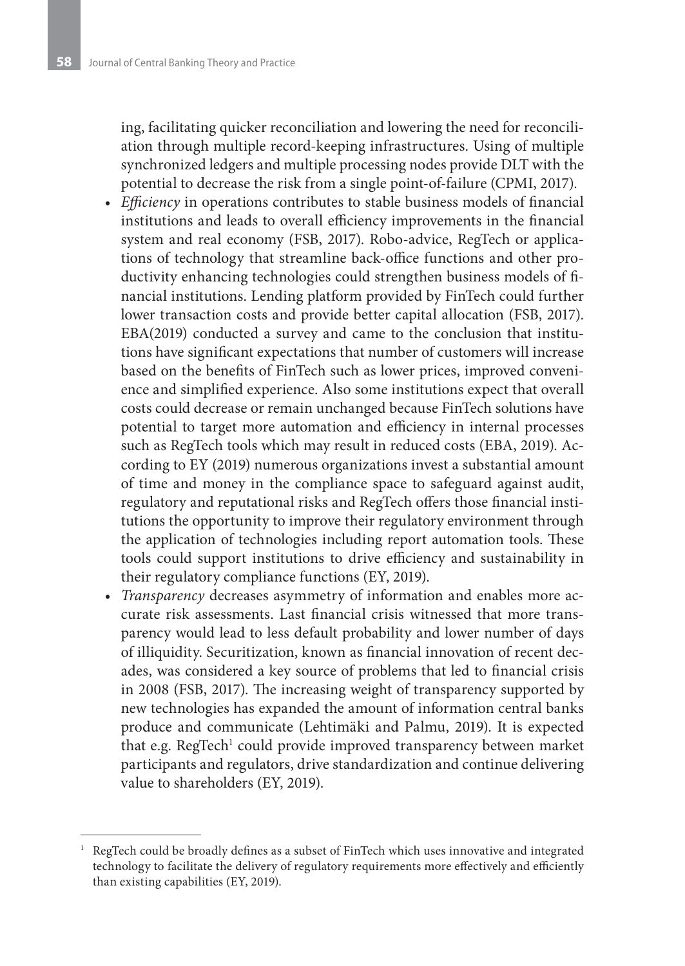ing, facilitating quicker reconciliation and lowering the need for reconciliation through multiple record-keeping infrastructures. Using of multiple synchronized ledgers and multiple processing nodes provide DLT with the potential to decrease the risk from a single point-of-failure (CPMI, 2017).

- *• Efficiency* in operations contributes to stable business models of financial institutions and leads to overall efficiency improvements in the financial system and real economy (FSB, 2017). Robo-advice, RegTech or applications of technology that streamline back-office functions and other productivity enhancing technologies could strengthen business models of financial institutions. Lending platform provided by FinTech could further lower transaction costs and provide better capital allocation (FSB, 2017). EBA(2019) conducted a survey and came to the conclusion that institutions have significant expectations that number of customers will increase based on the benefits of FinTech such as lower prices, improved convenience and simplified experience. Also some institutions expect that overall costs could decrease or remain unchanged because FinTech solutions have potential to target more automation and efficiency in internal processes such as RegTech tools which may result in reduced costs (EBA, 2019). According to EY (2019) numerous organizations invest a substantial amount of time and money in the compliance space to safeguard against audit, regulatory and reputational risks and RegTech offers those financial institutions the opportunity to improve their regulatory environment through the application of technologies including report automation tools. These tools could support institutions to drive efficiency and sustainability in their regulatory compliance functions (EY, 2019).
- *• Transparency* decreases asymmetry of information and enables more accurate risk assessments. Last financial crisis witnessed that more transparency would lead to less default probability and lower number of days of illiquidity. Securitization, known as financial innovation of recent decades, was considered a key source of problems that led to financial crisis in 2008 (FSB, 2017). The increasing weight of transparency supported by new technologies has expanded the amount of information central banks produce and communicate (Lehtimäki and Palmu, 2019). It is expected that e.g. RegTech<sup>1</sup> could provide improved transparency between market participants and regulators, drive standardization and continue delivering value to shareholders (EY, 2019).

<sup>1</sup> RegTech could be broadly defines as a subset of FinTech which uses innovative and integrated technology to facilitate the delivery of regulatory requirements more effectively and efficiently than existing capabilities (EY, 2019).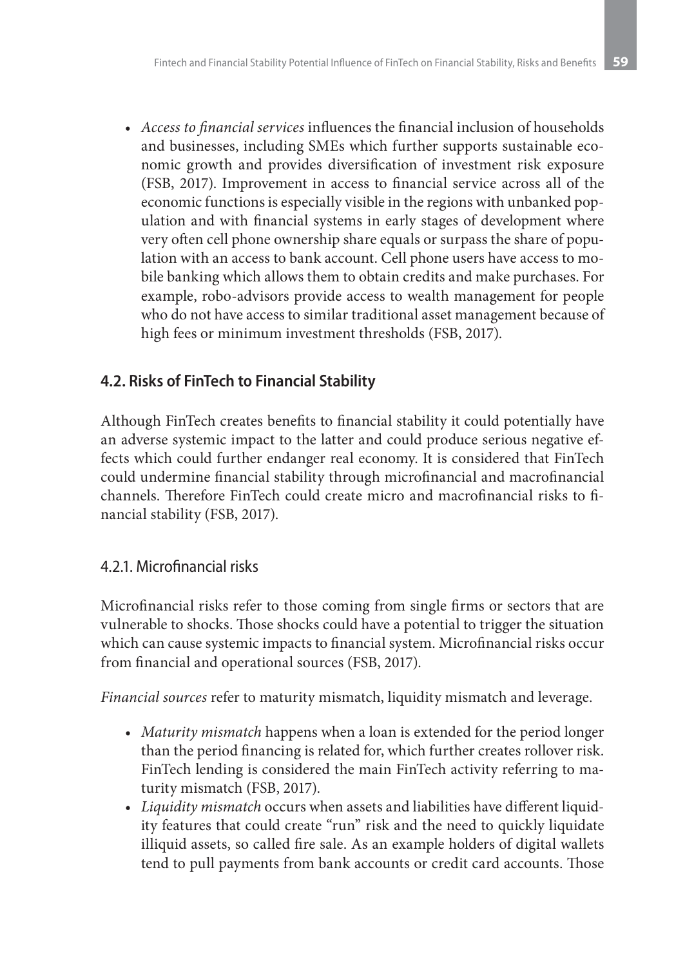*• Access to financial services* influences the financial inclusion of households and businesses, including SMEs which further supports sustainable economic growth and provides diversification of investment risk exposure (FSB, 2017). Improvement in access to financial service across all of the economic functions is especially visible in the regions with unbanked population and with financial systems in early stages of development where very often cell phone ownership share equals or surpass the share of population with an access to bank account. Cell phone users have access to mobile banking which allows them to obtain credits and make purchases. For example, robo-advisors provide access to wealth management for people who do not have access to similar traditional asset management because of high fees or minimum investment thresholds (FSB, 2017).

## **4.2. Risks of FinTech to Financial Stability**

Although FinTech creates benefits to financial stability it could potentially have an adverse systemic impact to the latter and could produce serious negative effects which could further endanger real economy. It is considered that FinTech could undermine financial stability through microfinancial and macrofinancial channels. Therefore FinTech could create micro and macrofinancial risks to financial stability (FSB, 2017).

## 4.2.1. Microfinancial risks

Microfinancial risks refer to those coming from single firms or sectors that are vulnerable to shocks. Those shocks could have a potential to trigger the situation which can cause systemic impacts to financial system. Microfinancial risks occur from financial and operational sources (FSB, 2017).

*Financial sources* refer to maturity mismatch, liquidity mismatch and leverage.

- *• Maturity mismatch* happens when a loan is extended for the period longer than the period financing is related for, which further creates rollover risk. FinTech lending is considered the main FinTech activity referring to maturity mismatch (FSB, 2017).
- *• Liquidity mismatch* occurs when assets and liabilities have different liquidity features that could create "run" risk and the need to quickly liquidate illiquid assets, so called fire sale. As an example holders of digital wallets tend to pull payments from bank accounts or credit card accounts. Those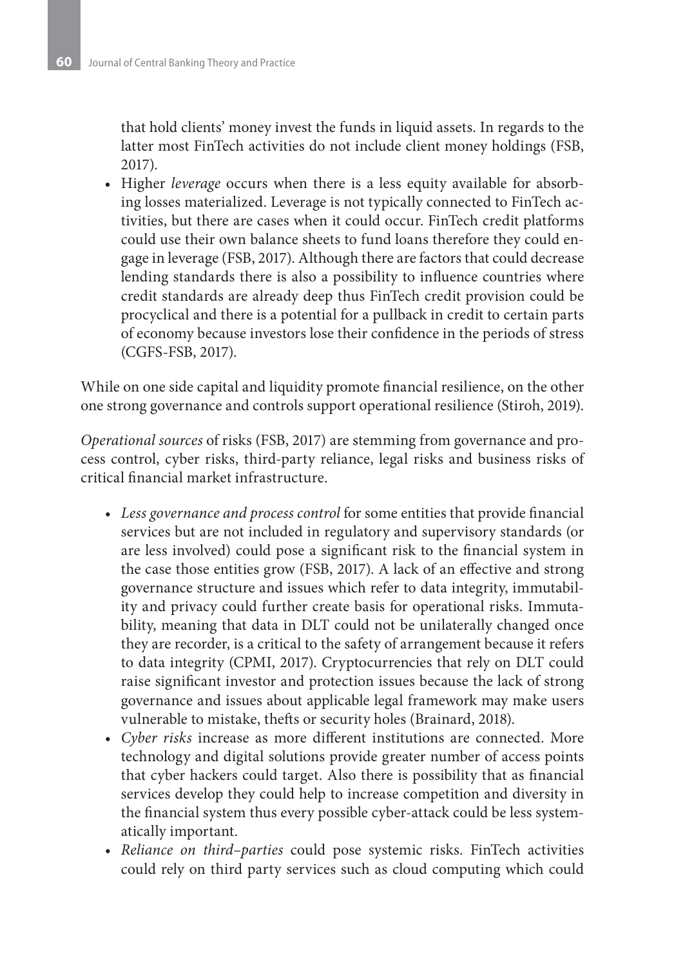that hold clients' money invest the funds in liquid assets. In regards to the latter most FinTech activities do not include client money holdings (FSB, 2017).

• Higher *leverage* occurs when there is a less equity available for absorbing losses materialized. Leverage is not typically connected to FinTech activities, but there are cases when it could occur. FinTech credit platforms could use their own balance sheets to fund loans therefore they could engage in leverage (FSB, 2017). Although there are factors that could decrease lending standards there is also a possibility to influence countries where credit standards are already deep thus FinTech credit provision could be procyclical and there is a potential for a pullback in credit to certain parts of economy because investors lose their confidence in the periods of stress (CGFS-FSB, 2017).

While on one side capital and liquidity promote financial resilience, on the other one strong governance and controls support operational resilience (Stiroh, 2019).

*Operational sources* of risks (FSB, 2017) are stemming from governance and process control, cyber risks, third-party reliance, legal risks and business risks of critical financial market infrastructure.

- *• Less governance and process control* for some entities that provide financial services but are not included in regulatory and supervisory standards (or are less involved) could pose a significant risk to the financial system in the case those entities grow (FSB, 2017). A lack of an effective and strong governance structure and issues which refer to data integrity, immutability and privacy could further create basis for operational risks. Immutability, meaning that data in DLT could not be unilaterally changed once they are recorder, is a critical to the safety of arrangement because it refers to data integrity (CPMI, 2017). Cryptocurrencies that rely on DLT could raise significant investor and protection issues because the lack of strong governance and issues about applicable legal framework may make users vulnerable to mistake, thefts or security holes (Brainard, 2018).
- *• Cyber risks* increase as more different institutions are connected. More technology and digital solutions provide greater number of access points that cyber hackers could target. Also there is possibility that as financial services develop they could help to increase competition and diversity in the financial system thus every possible cyber-attack could be less systematically important.
- *• Reliance on third–parties* could pose systemic risks. FinTech activities could rely on third party services such as cloud computing which could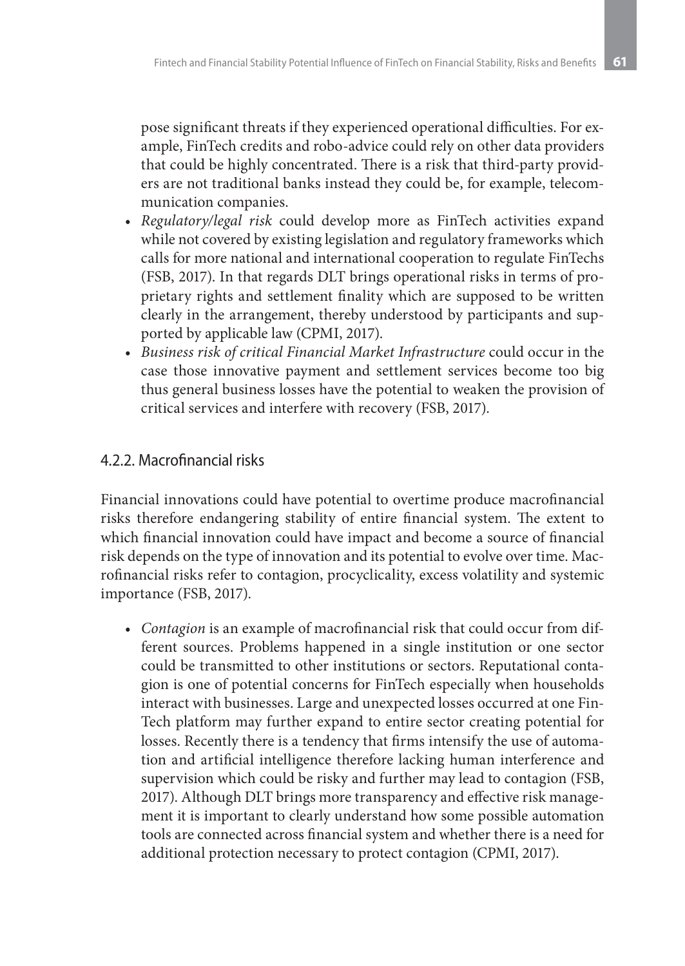pose significant threats if they experienced operational difficulties. For example, FinTech credits and robo-advice could rely on other data providers that could be highly concentrated. There is a risk that third-party providers are not traditional banks instead they could be, for example, telecommunication companies.

- *• Regulatory/legal risk* could develop more as FinTech activities expand while not covered by existing legislation and regulatory frameworks which calls for more national and international cooperation to regulate FinTechs (FSB, 2017). In that regards DLT brings operational risks in terms of proprietary rights and settlement finality which are supposed to be written clearly in the arrangement, thereby understood by participants and supported by applicable law (CPMI, 2017).
- *• Business risk of critical Financial Market Infrastructure* could occur in the case those innovative payment and settlement services become too big thus general business losses have the potential to weaken the provision of critical services and interfere with recovery (FSB, 2017).

## 4.2.2. Macrofinancial risks

Financial innovations could have potential to overtime produce macrofinancial risks therefore endangering stability of entire financial system. The extent to which financial innovation could have impact and become a source of financial risk depends on the type of innovation and its potential to evolve over time. Macrofinancial risks refer to contagion, procyclicality, excess volatility and systemic importance (FSB, 2017).

*• Contagion* is an example of macrofinancial risk that could occur from different sources. Problems happened in a single institution or one sector could be transmitted to other institutions or sectors. Reputational contagion is one of potential concerns for FinTech especially when households interact with businesses. Large and unexpected losses occurred at one Fin-Tech platform may further expand to entire sector creating potential for losses. Recently there is a tendency that firms intensify the use of automation and artificial intelligence therefore lacking human interference and supervision which could be risky and further may lead to contagion (FSB, 2017). Although DLT brings more transparency and effective risk management it is important to clearly understand how some possible automation tools are connected across financial system and whether there is a need for additional protection necessary to protect contagion (CPMI, 2017).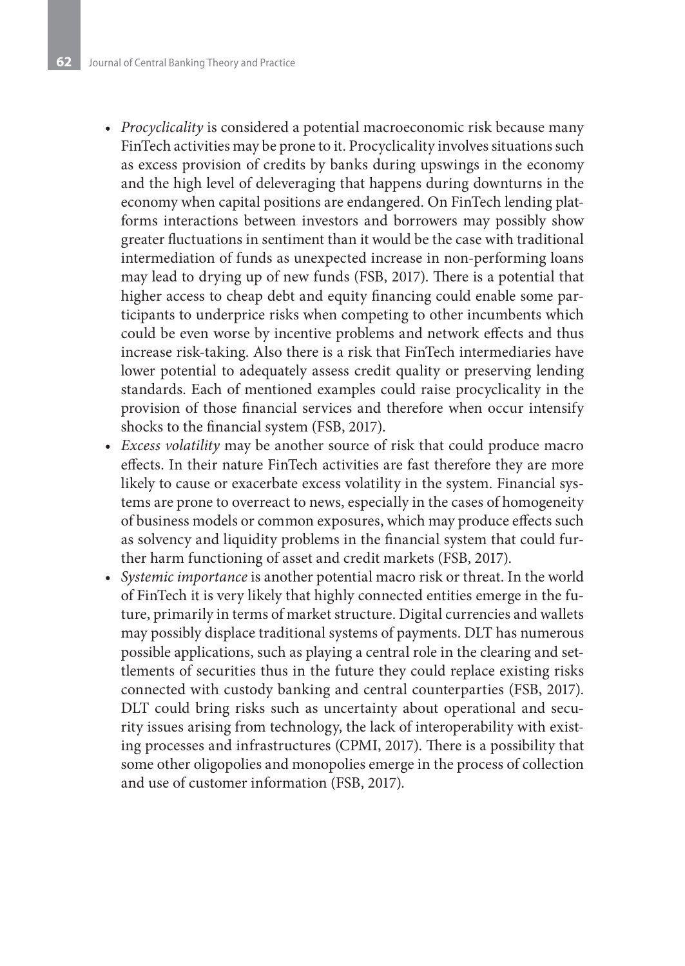- *• Procyclicality* is considered a potential macroeconomic risk because many FinTech activities may be prone to it. Procyclicality involves situations such as excess provision of credits by banks during upswings in the economy and the high level of deleveraging that happens during downturns in the economy when capital positions are endangered. On FinTech lending platforms interactions between investors and borrowers may possibly show greater fluctuations in sentiment than it would be the case with traditional intermediation of funds as unexpected increase in non-performing loans may lead to drying up of new funds (FSB, 2017). There is a potential that higher access to cheap debt and equity financing could enable some participants to underprice risks when competing to other incumbents which could be even worse by incentive problems and network effects and thus increase risk-taking. Also there is a risk that FinTech intermediaries have lower potential to adequately assess credit quality or preserving lending standards. Each of mentioned examples could raise procyclicality in the provision of those financial services and therefore when occur intensify shocks to the financial system (FSB, 2017).
- *• Excess volatility* may be another source of risk that could produce macro effects. In their nature FinTech activities are fast therefore they are more likely to cause or exacerbate excess volatility in the system. Financial systems are prone to overreact to news, especially in the cases of homogeneity of business models or common exposures, which may produce effects such as solvency and liquidity problems in the financial system that could further harm functioning of asset and credit markets (FSB, 2017).
- *• Systemic importance* is another potential macro risk or threat. In the world of FinTech it is very likely that highly connected entities emerge in the future, primarily in terms of market structure. Digital currencies and wallets may possibly displace traditional systems of payments. DLT has numerous possible applications, such as playing a central role in the clearing and settlements of securities thus in the future they could replace existing risks connected with custody banking and central counterparties (FSB, 2017). DLT could bring risks such as uncertainty about operational and security issues arising from technology, the lack of interoperability with existing processes and infrastructures (CPMI, 2017). There is a possibility that some other oligopolies and monopolies emerge in the process of collection and use of customer information (FSB, 2017).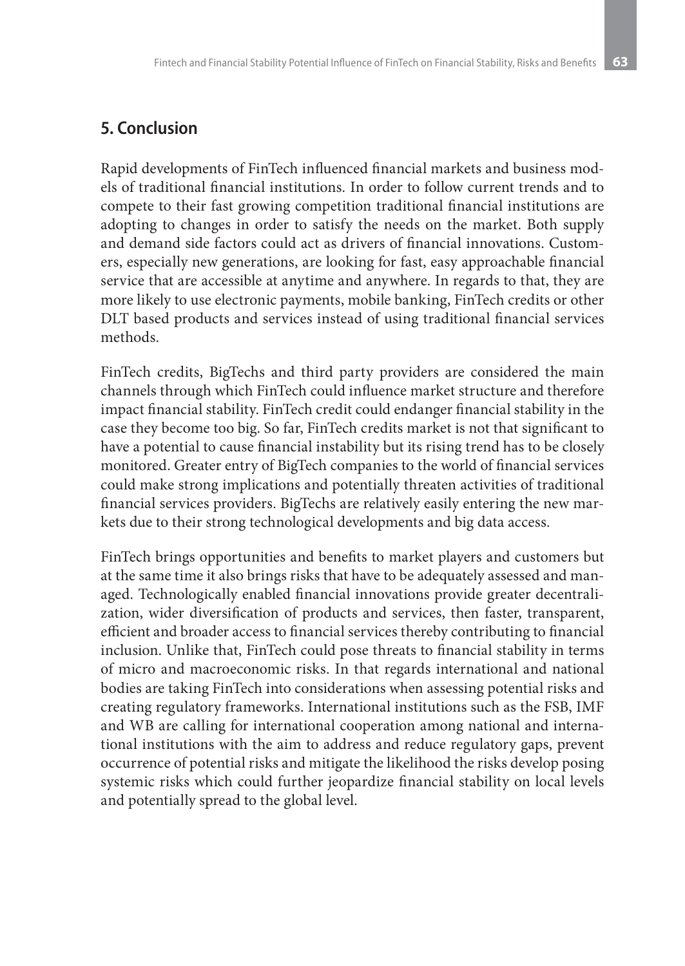## **5. Conclusion**

Rapid developments of FinTech influenced financial markets and business models of traditional financial institutions. In order to follow current trends and to compete to their fast growing competition traditional financial institutions are adopting to changes in order to satisfy the needs on the market. Both supply and demand side factors could act as drivers of financial innovations. Customers, especially new generations, are looking for fast, easy approachable financial service that are accessible at anytime and anywhere. In regards to that, they are more likely to use electronic payments, mobile banking, FinTech credits or other DLT based products and services instead of using traditional financial services methods.

FinTech credits, BigTechs and third party providers are considered the main channels through which FinTech could influence market structure and therefore impact financial stability. FinTech credit could endanger financial stability in the case they become too big. So far, FinTech credits market is not that significant to have a potential to cause financial instability but its rising trend has to be closely monitored. Greater entry of BigTech companies to the world of financial services could make strong implications and potentially threaten activities of traditional financial services providers. BigTechs are relatively easily entering the new markets due to their strong technological developments and big data access.

FinTech brings opportunities and benefits to market players and customers but at the same time it also brings risks that have to be adequately assessed and managed. Technologically enabled financial innovations provide greater decentralization, wider diversification of products and services, then faster, transparent, efficient and broader access to financial services thereby contributing to financial inclusion. Unlike that, FinTech could pose threats to financial stability in terms of micro and macroeconomic risks. In that regards international and national bodies are taking FinTech into considerations when assessing potential risks and creating regulatory frameworks. International institutions such as the FSB, IMF and WB are calling for international cooperation among national and international institutions with the aim to address and reduce regulatory gaps, prevent occurrence of potential risks and mitigate the likelihood the risks develop posing systemic risks which could further jeopardize financial stability on local levels and potentially spread to the global level.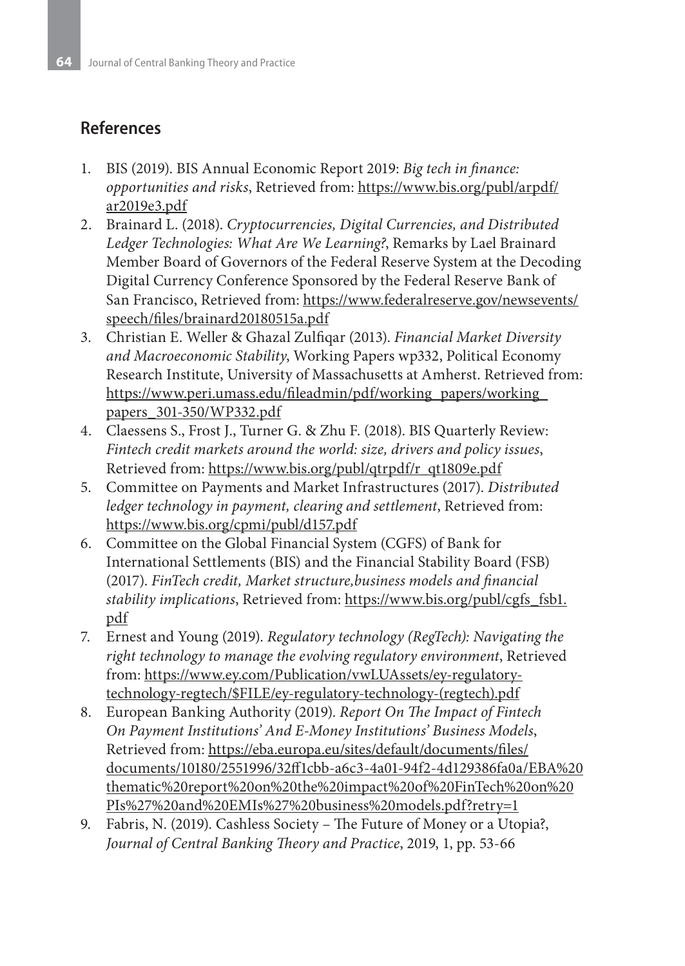# **References**

- 1. BIS (2019). BIS Annual Economic Report 2019: *Big tech in finance: opportunities and risks*, Retrieved from: https://www.bis.org/publ/arpdf/ ar2019e3.pdf
- 2. Brainard L. (2018). *Cryptocurrencies, Digital Currencies, and Distributed Ledger Technologies: What Are We Learning?*, Remarks by Lael Brainard Member Board of Governors of the Federal Reserve System at the Decoding Digital Currency Conference Sponsored by the Federal Reserve Bank of San Francisco, Retrieved from: https://www.federalreserve.gov/newsevents/ speech/files/brainard20180515a.pdf
- 3. Christian E. Weller & Ghazal Zulfiqar (2013). *Financial Market Diversity and Macroeconomic Stability*, Working Papers wp332, Political Economy Research Institute, University of Massachusetts at Amherst. Retrieved from: https://www.peri.umass.edu/fileadmin/pdf/working\_papers/working\_ papers\_301-350/WP332.pdf
- 4. Claessens S., Frost J., Turner G. & Zhu F. (2018). BIS Quarterly Review: *Fintech credit markets around the world: size, drivers and policy issues*, Retrieved from: https://www.bis.org/publ/qtrpdf/r\_qt1809e.pdf
- 5. Committee on Payments and Market Infrastructures (2017). *Distributed ledger technology in payment, clearing and settlement*, Retrieved from: https://www.bis.org/cpmi/publ/d157.pdf
- 6. Committee on the Global Financial System (CGFS) of Bank for International Settlements (BIS) and the Financial Stability Board (FSB) (2017). *FinTech credit, Market structure,business models and financial stability implications*, Retrieved from: https://www.bis.org/publ/cgfs\_fsb1. pdf
- 7. Ernest and Young (2019). *Regulatory technology (RegTech): Navigating the right technology to manage the evolving regulatory environment*, Retrieved from: https://www.ey.com/Publication/vwLUAssets/ey-regulatorytechnology-regtech/\$FILE/ey-regulatory-technology-(regtech).pdf
- 8. European Banking Authority (2019). *Report On The Impact of Fintech On Payment Institutions' And E-Money Institutions' Business Models*, Retrieved from: https://eba.europa.eu/sites/default/documents/files/ documents/10180/2551996/32ff1cbb-a6c3-4a01-94f2-4d129386fa0a/EBA%20 thematic%20report%20on%20the%20impact%20of%20FinTech%20on%20 PIs%27%20and%20EMIs%27%20business%20models.pdf?retry=1
- 9. Fabris, N. (2019). Cashless Society The Future of Money or a Utopia?, *Journal of Central Banking Theory and Practice*, 2019, 1, pp. 53-66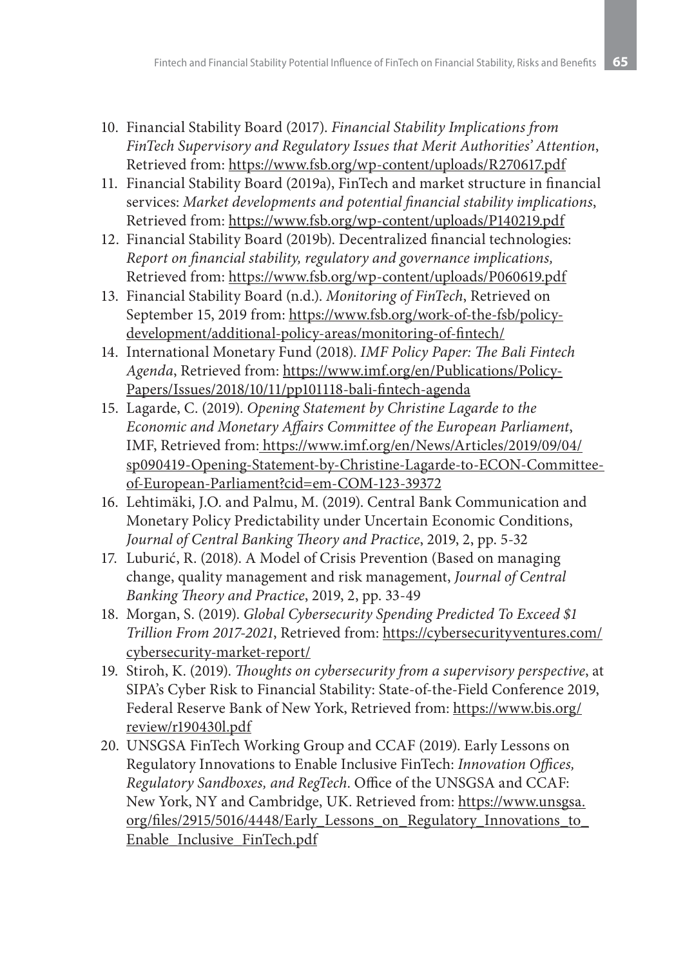- 10. Financial Stability Board (2017). *Financial Stability Implications from FinTech Supervisory and Regulatory Issues that Merit Authorities' Attention*, Retrieved from: https://www.fsb.org/wp-content/uploads/R270617.pdf
- 11. Financial Stability Board (2019a), FinTech and market structure in financial services: *Market developments and potential financial stability implications*, Retrieved from: https://www.fsb.org/wp-content/uploads/P140219.pdf
- 12. Financial Stability Board (2019b). Decentralized financial technologies: *Report on financial stability, regulatory and governance implications,* Retrieved from: https://www.fsb.org/wp-content/uploads/P060619.pdf
- 13. Financial Stability Board (n.d.). *Monitoring of FinTech*, Retrieved on September 15, 2019 from: https://www.fsb.org/work-of-the-fsb/policydevelopment/additional-policy-areas/monitoring-of-fintech/
- 14. International Monetary Fund (2018). *IMF Policy Paper: The Bali Fintech Agenda*, Retrieved from: https://www.imf.org/en/Publications/Policy-Papers/Issues/2018/10/11/pp101118-bali-fintech-agenda
- 15. Lagarde, C. (2019). *Opening Statement by Christine Lagarde to the Economic and Monetary Affairs Committee of the European Parliament*, IMF, Retrieved from: https://www.imf.org/en/News/Articles/2019/09/04/ sp090419-Opening-Statement-by-Christine-Lagarde-to-ECON-Committeeof-European-Parliament?cid=em-COM-123-39372
- 16. Lehtimäki, J.O. and Palmu, M. (2019). Central Bank Communication and Monetary Policy Predictability under Uncertain Economic Conditions, *Journal of Central Banking Theory and Practice*, 2019, 2, pp. 5-32
- 17. Luburić, R. (2018). A Model of Crisis Prevention (Based on managing change, quality management and risk management, *Journal of Central Banking Theory and Practice*, 2019, 2, pp. 33-49
- 18. Morgan, S. (2019). *Global Cybersecurity Spending Predicted To Exceed \$1 Trillion From 2017-2021*, Retrieved from: https://cybersecurityventures.com/ cybersecurity-market-report/
- 19. Stiroh, K. (2019). *Thoughts on cybersecurity from a supervisory perspective*, at SIPA's Cyber Risk to Financial Stability: State-of-the-Field Conference 2019, Federal Reserve Bank of New York, Retrieved from: https://www.bis.org/ review/r190430l.pdf
- 20. UNSGSA FinTech Working Group and CCAF (2019). Early Lessons on Regulatory Innovations to Enable Inclusive FinTech: *Innovation Offices, Regulatory Sandboxes, and RegTech*. Office of the UNSGSA and CCAF: New York, NY and Cambridge, UK. Retrieved from: https://www.unsgsa. org/files/2915/5016/4448/Early\_Lessons\_on\_Regulatory\_Innovations\_to\_ Enable\_Inclusive\_FinTech.pdf